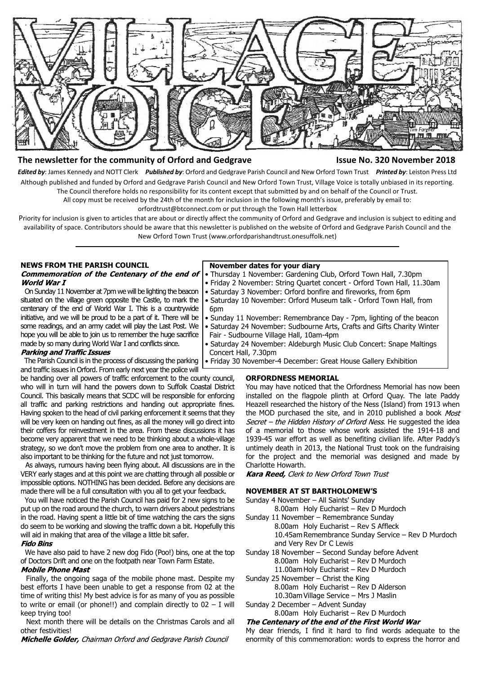

# **The newsletter for the community of Orford and Gedgrave Issue No. 320 November 2018**

*Edited by*: James Kennedy and NOTT Clerk *Published by*: Orford and Gedgrave Parish Council and New Orford Town Trust *Printed by*: Leiston Press Ltd Although published and funded by Orford and Gedgrave Parish Council and New Orford Town Trust, Village Voice is totally unbiased in its reporting. The Council therefore holds no responsibility for its content except that submitted by and on behalf of the Council or Trust.

All copy must be received by the 24th of the month for inclusion in the following month's issue, preferably by email to:

orfordtrust@btconnect.com or put through the Town Hall letterbox

Priority for inclusion is given to articles that are about or directly affect the community of Orford and Gedgrave and inclusion is subject to editing and availability of space. Contributors should be aware that this newsletter is published on the website of Orford and Gedgrave Parish Council and the New Orford Town Trust (www.orfordparishandtrust.onesuffolk.net)

### **NEWS FROM THE PARISH COUNCIL** Commemoration of the Centenary of the end of World War I

 On Sunday 11 November at 7pm we will be lighting the beacon situated on the village green opposite the Castle, to mark the centenary of the end of World War I. This is a countrywide initiative, and we will be proud to be a part of it. There will be some readings, and an army cadet will play the Last Post. We hope you will be able to join us to remember the huge sacrifice made by so many during World War I and conflicts since.

### **Parking and Traffic Issues**

 The Parish Council is in the process of discussing the parking and traffic issues in Orford. From early next year the police will

be handing over all powers of traffic enforcement to the county council, who will in turn will hand the powers down to Suffolk Coastal District Council. This basically means that SCDC will be responsible for enforcing all traffic and parking restrictions and handing out appropriate fines. Having spoken to the head of civil parking enforcement it seems that they will be very keen on handing out fines, as all the money will go direct into their coffers for reinvestment in the area. From these discussions it has become very apparent that we need to be thinking about a whole-village strategy, so we don't move the problem from one area to another. It is also important to be thinking for the future and not just tomorrow.

 As always, rumours having been flying about. All discussions are in the VERY early stages and at this point we are chatting through all possible or impossible options. NOTHING has been decided. Before any decisions are made there will be a full consultation with you all to get your feedback.

You will have noticed the Parish Council has paid for 2 new signs to be put up on the road around the church, to warn drivers about pedestrians in the road. Having spent a little bit of time watching the cars the signs do seem to be working and slowing the traffic down a bit. Hopefully this will aid in making that area of the village a little bit safer.

#### **Fido Bins**

 We have also paid to have 2 new dog Fido (Poo!) bins, one at the top of Doctors Drift and one on the footpath near Town Farm Estate.

# **Mobile Phone Mast**

 Finally, the ongoing saga of the mobile phone mast. Despite my best efforts I have been unable to get a response from 02 at the time of writing this! My best advice is for as many of you as possible to write or email (or phone!!) and complain directly to  $02 - I$  will keep trying too!

 Next month there will be details on the Christmas Carols and all other festivities!

Michelle Golder, Chairman Orford and Gedgrave Parish Council

#### **November dates for your diary**

- Thursday 1 November: Gardening Club, Orford Town Hall, 7.30pm
- Friday 2 November: String Quartet concert Orford Town Hall, 11.30am
- Saturday 3 November: Orford bonfire and fireworks, from 6pm
- Saturday 10 November: Orford Museum talk Orford Town Hall, from 6pm
- Sunday 11 November: Remembrance Day 7pm, lighting of the beacon
- Saturday 24 November: Sudbourne Arts, Crafts and Gifts Charity Winter Fair - Sudbourne Village Hall, 10am-4pm
- Saturday 24 November: Aldeburgh Music Club Concert: Snape Maltings Concert Hall, 7.30pm
- Friday 30 November-4 December: Great House Gallery Exhibition

### **ORFORDNESS MEMORIAL**

You may have noticed that the Orfordness Memorial has now been installed on the flagpole plinth at Orford Quay. The late Paddy Heazell researched the history of the Ness (Island) from 1913 when the MOD purchased the site, and in 2010 published a book Most Secret - the Hidden History of Orford Ness. He suggested the idea of a memorial to those whose work assisted the 1914-18 and 1939-45 war effort as well as benefiting civilian life. After Paddy's untimely death in 2013, the National Trust took on the fundraising for the project and the memorial was designed and made by Charlotte Howarth.

# Kara Reed, Clerk to New Orford Town Trust

# **NOVEMBER AT ST BARTHOLOMEW'S**

- Sunday 4 November All Saints' Sunday
- 8.00am Holy Eucharist Rev D Murdoch Sunday 11 November – Remembrance Sunday
	- 8.00am Holy Eucharist Rev S Affleck 10.45am Remembrance Sunday Service – Rev D Murdoch and Very Rev Dr C Lewis
- Sunday 18 November Second Sunday before Advent
	- 8.00am Holy Eucharist Rev D Murdoch
	- 11.00am Holy Eucharist Rev D Murdoch
- Sunday 25 November Christ the King 8.00am Holy Eucharist – Rev D Alderson
	- 10.30am Village Service Mrs J Maslin
- Sunday 2 December Advent Sunday

# 8.00am Holy Eucharist – Rev D Murdoch<br>The Centenary of the end of the First World War

My dear friends, I find it hard to find words adequate to the enormity of this commemoration: words to express the horror and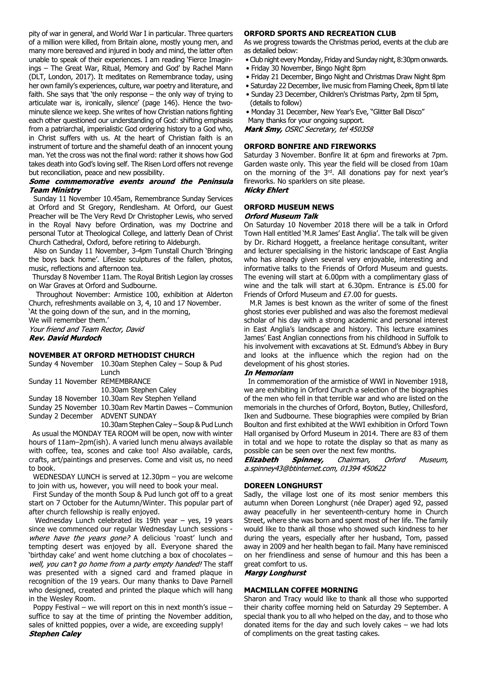pity of war in general, and World War I in particular. Three quarters of a million were killed, from Britain alone, mostly young men, and many more bereaved and injured in body and mind, the latter often unable to speak of their experiences. I am reading 'Fierce Imaginings – The Great War, Ritual, Memory and God' by Rachel Mann (DLT, London, 2017). It meditates on Remembrance today, using her own family's experiences, culture, war poetry and literature, and faith. She says that 'the only response – the only way of trying to articulate war is, ironically, silence' (page 146). Hence the twominute silence we keep. She writes of how Christian nations fighting each other questioned our understanding of God: shifting emphasis from a patriarchal, imperialistic God ordering history to a God who, in Christ suffers with us. At the heart of Christian faith is an instrument of torture and the shameful death of an innocent young man. Yet the cross was not the final word: rather it shows how God takes death into God's loving self. The Risen Lord offers not revenge but reconciliation, peace and new possibility.

### Some commemorative events around the Peninsula **Team Ministry**

 Sunday 11 November 10.45am, Remembrance Sunday Services at Orford and St Gregory, Rendlesham. At Orford, our Guest Preacher will be The Very Revd Dr Christopher Lewis, who served in the Royal Navy before Ordination, was my Doctrine and personal Tutor at Theological College, and latterly Dean of Christ Church Cathedral, Oxford, before retiring to Aldeburgh.

 Also on Sunday 11 November, 3-4pm Tunstall Church 'Bringing the boys back home'. Lifesize sculptures of the fallen, photos, music, reflections and afternoon tea.

 Thursday 8 November 11am. The Royal British Legion lay crosses on War Graves at Orford and Sudbourne.

 Throughout November: Armistice 100, exhibition at Alderton Church, refreshments available on 3, 4, 10 and 17 November.

'At the going down of the sun, and in the morning,

We will remember them.'<br>Your friend and Team Rector, David

**Rev. David Murdoch** 

# **NOVEMBER AT ORFORD METHODIST CHURCH**

|                                | Sunday 4 November 10.30am Stephen Caley – Soup & Pud |
|--------------------------------|------------------------------------------------------|
|                                | Lunch                                                |
| Sunday 11 November REMEMBRANCE |                                                      |
|                                | 10.30am Stephen Caley                                |
|                                | Sunday 18 November 10.30am Rev Stephen Yelland       |
|                                |                                                      |

Sunday 25 November 10.30am Rev Martin Dawes – Communion Sunday 2 December ADVENT SUNDAY

 10.30am Stephen Caley – Soup & Pud Lunch As usual the MONDAY TEA ROOM will be open, now with winter hours of 11am–2pm(ish). A varied lunch menu always available with coffee, tea, scones and cake too! Also available, cards, crafts, art/paintings and preserves. Come and visit us, no need to book.

 WEDNESDAY LUNCH is served at 12.30pm – you are welcome to join with us, however, you will need to book your meal.

 First Sunday of the month Soup & Pud lunch got off to a great start on 7 October for the Autumn/Winter. This popular part of after church fellowship is really enjoyed.

 Wednesday Lunch celebrated its 19th year – yes, 19 years since we commenced our regular Wednesday Lunch sessions where have the years gone? A delicious 'roast' lunch and tempting desert was enjoyed by all. Everyone shared the 'birthday cake' and went home clutching a box of chocolates – well, you can't go home from a party empty handed! The staff was presented with a signed card and framed plaque in recognition of the 19 years. Our many thanks to Dave Parnell who designed, created and printed the plaque which will hang in the Wesley Room.

 Poppy Festival – we will report on this in next month's issue – suffice to say at the time of printing the November addition, sales of knitted poppies, over a wide, are exceeding supply! **Stephen Caley** 

#### **ORFORD SPORTS AND RECREATION CLUB**

As we progress towards the Christmas period, events at the club are as detailed below:

- Club night every Monday, Friday and Sunday night, 8:30pm onwards.
- Friday 30 November, Bingo Night 8pm
- Friday 21 December, Bingo Night and Christmas Draw Night 8pm
- Saturday 22 December, live music from Flaming Cheek, 8pm til late
- Sunday 23 December, Children's Christmas Party, 2pm til 5pm, (details to follow)
- Monday 31 December, New Year's Eve, "Glitter Ball Disco" Many thanks for your ongoing support.

Mark Smy, OSRC Secretary, tel 450358

# **ORFORD BONFIRE AND FIREWORKS**

Saturday 3 November. Bonfire lit at 6pm and fireworks at 7pm. Garden waste only. This year the field will be closed from 10am on the morning of the 3rd. All donations pay for next year's fireworks. No sparklers on site please. **Nicky Ehlert** 

#### **ORFORD MUSEUM NEWS Orford Museum Talk**

On Saturday 10 November 2018 there will be a talk in Orford Town Hall entitled 'M.R James' East Anglia'. The talk will be given by Dr. Richard Hoggett, a freelance heritage consultant, writer and lecturer specialising in the historic landscape of East Anglia who has already given several very enjoyable, interesting and informative talks to the Friends of Orford Museum and guests. The evening will start at 6.00pm with a complimentary glass of wine and the talk will start at 6.30pm. Entrance is £5.00 for Friends of Orford Museum and £7.00 for guests.

 M.R James is best known as the writer of some of the finest ghost stories ever published and was also the foremost medieval scholar of his day with a strong academic and personal interest in East Anglia's landscape and history. This lecture examines James' East Anglian connections from his childhood in Suffolk to his involvement with excavations at St. Edmund's Abbey in Bury and looks at the influence which the region had on the development of his ghost stories.

### **In Memoriam**

 In commemoration of the armistice of WWI in November 1918, we are exhibiting in Orford Church a selection of the biographies of the men who fell in that terrible war and who are listed on the memorials in the churches of Orford, Boyton, Butley, Chillesford, Iken and Sudbourne. These biographies were compiled by Brian Boulton and first exhibited at the WWI exhibition in Orford Town Hall organised by Orford Museum in 2014. There are 83 of them in total and we hope to rotate the display so that as many as possible can be seen over the next few months.

Elizabeth Spinney, Chairman, Orford Museum. a.spinney43@btinternet.com, 01394 450622

### **DOREEN LONGHURST**

Sadly, the village lost one of its most senior members this autumn when Doreen Longhurst (née Draper) aged 92, passed away peacefully in her seventeenth-century home in Church Street, where she was born and spent most of her life. The family would like to thank all those who showed such kindness to her during the years, especially after her husband, Tom, passed away in 2009 and her health began to fail. Many have reminisced on her friendliness and sense of humour and this has been a great comfort to us.

#### **Margy Longhurst**

#### **MACMILLAN COFFEE MORNING**

Sharon and Tracy would like to thank all those who supported their charity coffee morning held on Saturday 29 September. A special thank you to all who helped on the day, and to those who donated items for the day and such lovely cakes  $-$  we had lots of compliments on the great tasting cakes.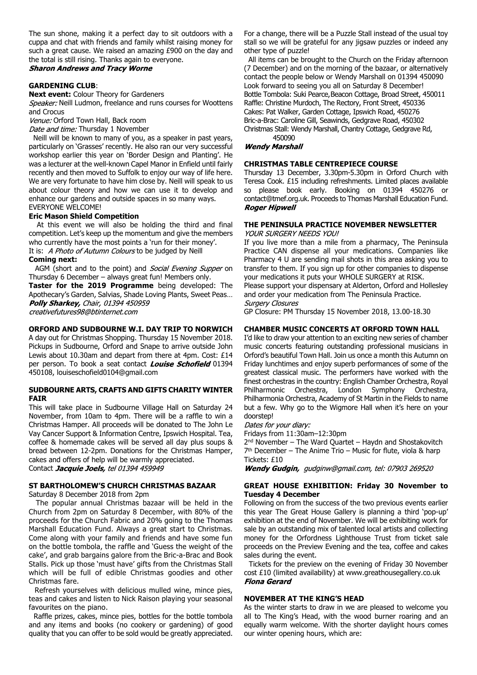The sun shone, making it a perfect day to sit outdoors with a cuppa and chat with friends and family whilst raising money for such a great cause. We raised an amazing £900 on the day and the total is still rising. Thanks again to everyone.<br>**Sharon Andrews and Tracy Worne** 

# **GARDENING CLUB**:

**Next event:** Colour Theory for Gardeners

Speaker: Neill Ludmon, freelance and runs courses for Woottens and Crocus

Venue: Orford Town Hall, Back room

Date and time: Thursday 1 November

 Neill will be known to many of you, as a speaker in past years, particularly on 'Grasses' recently. He also ran our very successful workshop earlier this year on 'Border Design and Planting'. He was a lecturer at the well-known Capel Manor in Enfield until fairly recently and then moved to Suffolk to enjoy our way of life here. We are very fortunate to have him close by. Neill will speak to us about colour theory and how we can use it to develop and enhance our gardens and outside spaces in so many ways. EVERYONE WELCOME!

# **Eric Mason Shield Competition**

 At this event we will also be holding the third and final competition. Let's keep up the momentum and give the members who currently have the most points a 'run for their money'. It is: A Photo of Autumn Colours to be judged by Neill

### **Coming next:**

AGM (short and to the point) and Social Evening Supper on Thursday 6 December – always great fun! Members only.

**Taster for the 2019 Programme** being developed: The Apothecary's Garden, Salvias, Shade Loving Plants, Sweet Peas… Polly Sharkey, Chair, 01394 450959 creativefutures98@btinternet.com

### **ORFORD AND SUDBOURNE W.I. DAY TRIP TO NORWICH**

A day out for Christmas Shopping. Thursday 15 November 2018. Pickups in Sudbourne, Orford and Snape to arrive outside John Lewis about 10.30am and depart from there at 4pm. Cost: £14 per person. To book a seat contact Louise Schofield 01394 450108, louiseschofield0104@gmail.com

# **SUDBOURNE ARTS, CRAFTS AND GIFTS CHARITY WINTER FAIR**

This will take place in Sudbourne Village Hall on Saturday 24 November, from 10am to 4pm. There will be a raffle to win a Christmas Hamper. All proceeds will be donated to The John Le Vay Cancer Support & Information Centre, Ipswich Hospital. Tea, coffee & homemade cakes will be served all day plus soups & bread between 12-2pm. Donations for the Christmas Hamper, cakes and offers of help will be warmly appreciated. Contact Jacquie Joels, tel 01394 459949

# **ST BARTHOLOMEW'S CHURCH CHRISTMAS BAZAAR**

Saturday 8 December 2018 from 2pm

 The popular annual Christmas bazaar will be held in the Church from 2pm on Saturday 8 December, with 80% of the proceeds for the Church Fabric and 20% going to the Thomas Marshall Education Fund. Always a great start to Christmas. Come along with your family and friends and have some fun on the bottle tombola, the raffle and 'Guess the weight of the cake', and grab bargains galore from the Bric-a-Brac and Book Stalls. Pick up those 'must have' gifts from the Christmas Stall which will be full of edible Christmas goodies and other Christmas fare.

 Refresh yourselves with delicious mulled wine, mince pies, teas and cakes and listen to Nick Raison playing your seasonal favourites on the piano.

 Raffle prizes, cakes, mince pies, bottles for the bottle tombola and any items and books (no cookery or gardening) of good quality that you can offer to be sold would be greatly appreciated.

For a change, there will be a Puzzle Stall instead of the usual toy stall so we will be grateful for any jigsaw puzzles or indeed any other type of puzzle!

 All items can be brought to the Church on the Friday afternoon (7 December) and on the morning of the bazaar, or alternatively contact the people below or Wendy Marshall on 01394 450090 Look forward to seeing you all on Saturday 8 December! Bottle Tombola: Suki Pearce, Beacon Cottage, Broad Street, 450011 Raffle: Christine Murdoch, The Rectory, Front Street, 450336 Cakes: Pat Walker, Garden Cottage, Ipswich Road, 450276 Bric-a-Brac: Caroline Gill, Seawinds, Gedgrave Road, 450302 Christmas Stall: Wendy Marshall, Chantry Cottage, Gedgrave Rd, 450090

**Wendy Marshall** 

### **CHRISTMAS TABLE CENTREPIECE COURSE**

Thursday 13 December, 3.30pm-5.30pm in Orford Church with Teresa Cook. £15 including refreshments. Limited places available so please book early. Booking on 01394 450276 or contact@tmef.org.uk. Proceeds to Thomas Marshall Education Fund. **Roger Hipwell** 

#### **THE PENINSULA PRACTICE NOVEMBER NEWSLETTER YOUR SURGERY NEEDS YOU!**

If you live more than a mile from a pharmacy, The Peninsula Practice CAN dispense all your medications. Companies like Pharmacy 4 U are sending mail shots in this area asking you to transfer to them. If you sign up for other companies to dispense

your medications it puts your WHOLE SURGERY at RISK. Please support your dispensary at Alderton, Orford and Hollesley and order your medication from The Peninsula Practice. **Surgery Closures** 

GP Closure: PM Thursday 15 November 2018, 13.00-18.30

# **CHAMBER MUSIC CONCERTS AT ORFORD TOWN HALL**

I'd like to draw your attention to an exciting new series of chamber music concerts featuring outstanding professional musicians in Orford's beautiful Town Hall. Join us once a month this Autumn on Friday lunchtimes and enjoy superb performances of some of the greatest classical music. The performers have worked with the finest orchestras in the country: English Chamber Orchestra, Royal Philharmonic Orchestra, London Symphony Orchestra, Philharmonia Orchestra, Academy of St Martin in the Fields to name but a few. Why go to the Wigmore Hall when it's here on your doorstep!

Dates for your diary:

Fridays from 11:30am–12:30pm

2 nd November – The Ward Quartet – Haydn and Shostakovitch 7 th December – The Anime Trio – Music for flute, viola & harp Tickets: £10

Wendy Gudgin, gudginw@gmail.com, tel: 07903 269520

# **GREAT HOUSE EXHIBITION: Friday 30 November to Tuesday 4 December**

Following on from the success of the two previous events earlier this year The Great House Gallery is planning a third 'pop-up' exhibition at the end of November. We will be exhibiting work for sale by an outstanding mix of talented local artists and collecting money for the Orfordness Lighthouse Trust from ticket sale proceeds on the Preview Evening and the tea, coffee and cakes sales during the event.

 Tickets for the preview on the evening of Friday 30 November cost £10 (limited availability) at www.greathousegallery.co.uk **Fiona Gerard** 

# **NOVEMBER AT THE KING'S HEAD**

As the winter starts to draw in we are pleased to welcome you all to The King's Head, with the wood burner roaring and an equally warm welcome. With the shorter daylight hours comes our winter opening hours, which are: